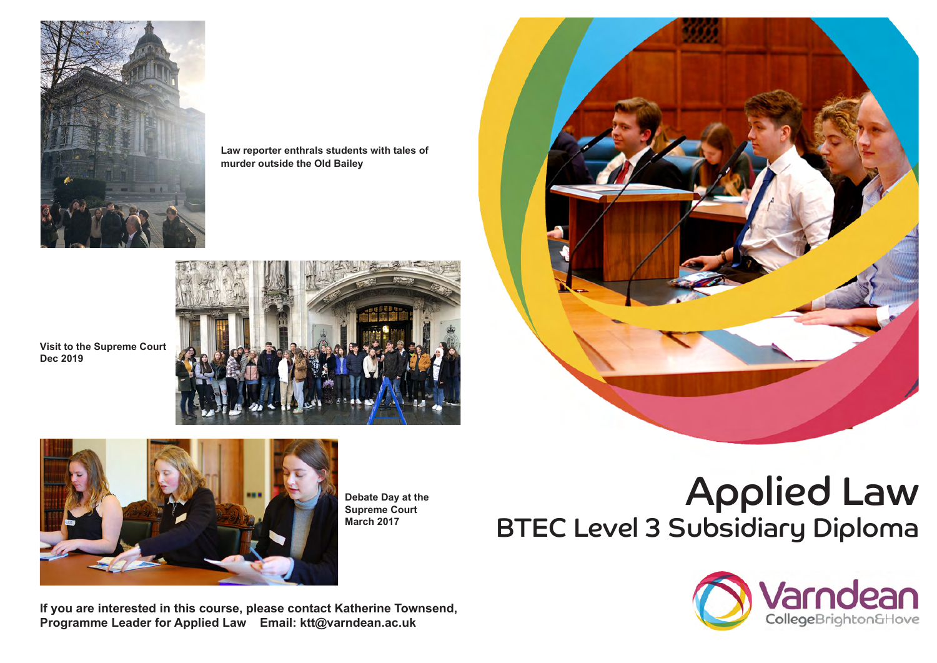

**Law reporter enthrals students with tales of murder outside the Old Bailey**



**Visit to the Supreme Court Dec 2019**



**Debate Day at the Supreme Court March 2017**

# Applied Law BTEC Level 3 Subsidiary Diploma



**If you are interested in this course, please contact Katherine Townsend, Programme Leader for Applied Law Email: ktt@varndean.ac.uk**